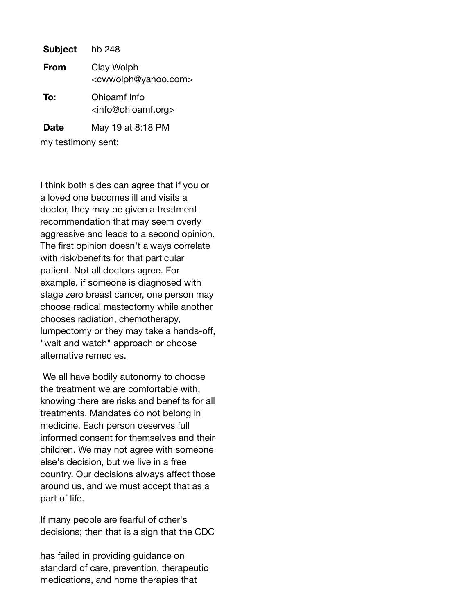**Subject** hb 248 **From** Clay Wolph <cwwolph@yahoo.com> **To:** Ohioamf Info <info@ohioamf.org> **Date** May 19 at 8:18 PM

my testimony sent:

I think both sides can agree that if you or a loved one becomes ill and visits a doctor, they may be given a treatment recommendation that may seem overly aggressive and leads to a second opinion. The first opinion doesn't always correlate with risk/benefits for that particular patient. Not all doctors agree. For example, if someone is diagnosed with stage zero breast cancer, one person may choose radical mastectomy while another chooses radiation, chemotherapy, lumpectomy or they may take a hands-off, "wait and watch" approach or choose alternative remedies.

We all have bodily autonomy to choose the treatment we are comfortable with, knowing there are risks and benefits for all treatments. Mandates do not belong in medicine. Each person deserves full informed consent for themselves and their children. We may not agree with someone else's decision, but we live in a free country. Our decisions always affect those around us, and we must accept that as a part of life.

If many people are fearful of other's decisions; then that is a sign that the CDC

has failed in providing guidance on standard of care, prevention, therapeutic medications, and home therapies that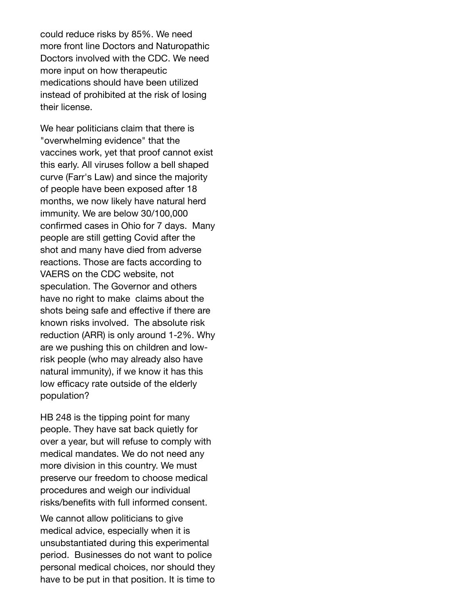could reduce risks by 85%. We need more front line Doctors and Naturopathic Doctors involved with the CDC. We need more input on how therapeutic medications should have been utilized instead of prohibited at the risk of losing their license.

We hear politicians claim that there is "overwhelming evidence" that the vaccines work, yet that proof cannot exist this early. All viruses follow a bell shaped curve (Farr's Law) and since the majority of people have been exposed after 18 months, we now likely have natural herd immunity. We are below 30/100,000 confirmed cases in Ohio for 7 days. Many people are still getting Covid after the shot and many have died from adverse reactions. Those are facts according to VAERS on the CDC website, not speculation. The Governor and others have no right to make claims about the shots being safe and effective if there are known risks involved. The absolute risk reduction (ARR) is only around 1-2%. Why are we pushing this on children and lowrisk people (who may already also have natural immunity), if we know it has this low efficacy rate outside of the elderly population?

HB 248 is the tipping point for many people. They have sat back quietly for over a year, but will refuse to comply with medical mandates. We do not need any more division in this country. We must preserve our freedom to choose medical procedures and weigh our individual risks/benefits with full informed consent.

We cannot allow politicians to give medical advice, especially when it is unsubstantiated during this experimental period. Businesses do not want to police personal medical choices, nor should they have to be put in that position. It is time to